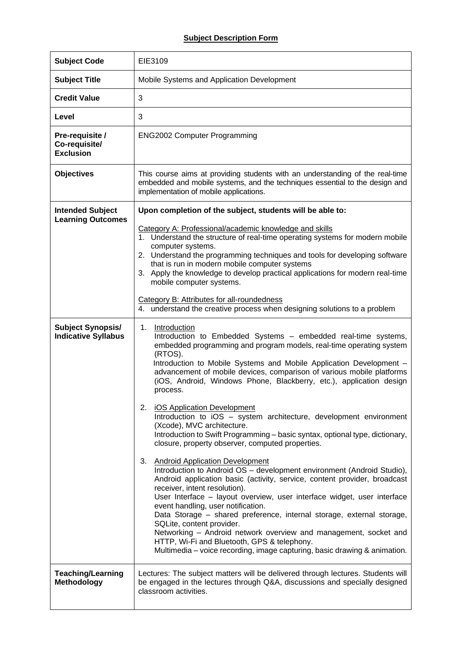## **Subject Description Form**

| <b>Subject Code</b>                                    | EIE3109                                                                                                                                                                                                                                                                                                                                                                                                                                                                                                                                                                                                                                                                                                                                                                                                                                                                                                                                                                                                                                                                                                                                                                                                                                                                                                                                            |
|--------------------------------------------------------|----------------------------------------------------------------------------------------------------------------------------------------------------------------------------------------------------------------------------------------------------------------------------------------------------------------------------------------------------------------------------------------------------------------------------------------------------------------------------------------------------------------------------------------------------------------------------------------------------------------------------------------------------------------------------------------------------------------------------------------------------------------------------------------------------------------------------------------------------------------------------------------------------------------------------------------------------------------------------------------------------------------------------------------------------------------------------------------------------------------------------------------------------------------------------------------------------------------------------------------------------------------------------------------------------------------------------------------------------|
| <b>Subject Title</b>                                   | Mobile Systems and Application Development                                                                                                                                                                                                                                                                                                                                                                                                                                                                                                                                                                                                                                                                                                                                                                                                                                                                                                                                                                                                                                                                                                                                                                                                                                                                                                         |
| <b>Credit Value</b>                                    | 3                                                                                                                                                                                                                                                                                                                                                                                                                                                                                                                                                                                                                                                                                                                                                                                                                                                                                                                                                                                                                                                                                                                                                                                                                                                                                                                                                  |
| Level                                                  | 3                                                                                                                                                                                                                                                                                                                                                                                                                                                                                                                                                                                                                                                                                                                                                                                                                                                                                                                                                                                                                                                                                                                                                                                                                                                                                                                                                  |
| Pre-requisite /<br>Co-requisite/<br><b>Exclusion</b>   | <b>ENG2002 Computer Programming</b>                                                                                                                                                                                                                                                                                                                                                                                                                                                                                                                                                                                                                                                                                                                                                                                                                                                                                                                                                                                                                                                                                                                                                                                                                                                                                                                |
| <b>Objectives</b>                                      | This course aims at providing students with an understanding of the real-time<br>embedded and mobile systems, and the techniques essential to the design and<br>implementation of mobile applications.                                                                                                                                                                                                                                                                                                                                                                                                                                                                                                                                                                                                                                                                                                                                                                                                                                                                                                                                                                                                                                                                                                                                             |
| <b>Intended Subject</b><br><b>Learning Outcomes</b>    | Upon completion of the subject, students will be able to:<br>Category A: Professional/academic knowledge and skills<br>1. Understand the structure of real-time operating systems for modern mobile<br>computer systems.<br>2. Understand the programming techniques and tools for developing software<br>that is run in modern mobile computer systems<br>3. Apply the knowledge to develop practical applications for modern real-time<br>mobile computer systems.<br>Category B: Attributes for all-roundedness<br>4. understand the creative process when designing solutions to a problem                                                                                                                                                                                                                                                                                                                                                                                                                                                                                                                                                                                                                                                                                                                                                     |
| <b>Subject Synopsis/</b><br><b>Indicative Syllabus</b> | 1.<br>Introduction<br>Introduction to Embedded Systems - embedded real-time systems,<br>embedded programming and program models, real-time operating system<br>(RTOS).<br>Introduction to Mobile Systems and Mobile Application Development -<br>advancement of mobile devices, comparison of various mobile platforms<br>(iOS, Android, Windows Phone, Blackberry, etc.), application design<br>process.<br>2.<br><b>iOS Application Development</b><br>Introduction to iOS - system architecture, development environment<br>(Xcode), MVC architecture.<br>Introduction to Swift Programming - basic syntax, optional type, dictionary,<br>closure, property observer, computed properties.<br>3. Android Application Development<br>Introduction to Android OS - development environment (Android Studio),<br>Android application basic (activity, service, content provider, broadcast<br>receiver, intent resolution).<br>User Interface - layout overview, user interface widget, user interface<br>event handling, user notification.<br>Data Storage - shared preference, internal storage, external storage,<br>SQLite, content provider.<br>Networking - Android network overview and management, socket and<br>HTTP, Wi-Fi and Bluetooth, GPS & telephony.<br>Multimedia – voice recording, image capturing, basic drawing & animation. |
| <b>Teaching/Learning</b><br>Methodology                | Lectures: The subject matters will be delivered through lectures. Students will<br>be engaged in the lectures through Q&A, discussions and specially designed<br>classroom activities.                                                                                                                                                                                                                                                                                                                                                                                                                                                                                                                                                                                                                                                                                                                                                                                                                                                                                                                                                                                                                                                                                                                                                             |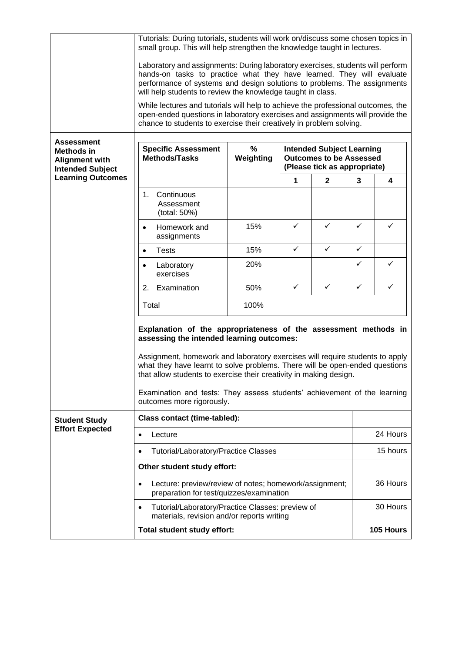|                                                                                                                 | Tutorials: During tutorials, students will work on/discuss some chosen topics in<br>small group. This will help strengthen the knowledge taught in lectures.                                                                                                                                                                                                                                                                                               |                |                                                                                                    |              |              |           |
|-----------------------------------------------------------------------------------------------------------------|------------------------------------------------------------------------------------------------------------------------------------------------------------------------------------------------------------------------------------------------------------------------------------------------------------------------------------------------------------------------------------------------------------------------------------------------------------|----------------|----------------------------------------------------------------------------------------------------|--------------|--------------|-----------|
|                                                                                                                 | Laboratory and assignments: During laboratory exercises, students will perform<br>hands-on tasks to practice what they have learned. They will evaluate<br>performance of systems and design solutions to problems. The assignments<br>will help students to review the knowledge taught in class.                                                                                                                                                         |                |                                                                                                    |              |              |           |
|                                                                                                                 | While lectures and tutorials will help to achieve the professional outcomes, the<br>open-ended questions in laboratory exercises and assignments will provide the<br>chance to students to exercise their creatively in problem solving.                                                                                                                                                                                                                   |                |                                                                                                    |              |              |           |
| <b>Assessment</b><br>Methods in<br><b>Alignment with</b><br><b>Intended Subject</b><br><b>Learning Outcomes</b> | <b>Specific Assessment</b><br>Methods/Tasks                                                                                                                                                                                                                                                                                                                                                                                                                | %<br>Weighting | <b>Intended Subject Learning</b><br><b>Outcomes to be Assessed</b><br>(Please tick as appropriate) |              |              |           |
|                                                                                                                 |                                                                                                                                                                                                                                                                                                                                                                                                                                                            |                | 1                                                                                                  | $\mathbf 2$  | 3            | 4         |
|                                                                                                                 | Continuous<br>1.<br>Assessment<br>(total: 50%)                                                                                                                                                                                                                                                                                                                                                                                                             |                |                                                                                                    |              |              |           |
|                                                                                                                 | Homework and<br>$\bullet$<br>assignments                                                                                                                                                                                                                                                                                                                                                                                                                   | 15%            | ✓                                                                                                  | ✓            | ✓            | ✓         |
|                                                                                                                 | <b>Tests</b><br>$\bullet$                                                                                                                                                                                                                                                                                                                                                                                                                                  | 15%            | $\checkmark$                                                                                       | $\checkmark$ | $\checkmark$ |           |
|                                                                                                                 | Laboratory<br>$\bullet$<br>exercises                                                                                                                                                                                                                                                                                                                                                                                                                       | 20%            |                                                                                                    |              | ✓            | ✓         |
|                                                                                                                 | 2.<br>Examination                                                                                                                                                                                                                                                                                                                                                                                                                                          | 50%            | $\checkmark$                                                                                       | $\checkmark$ | ✓            | ✓         |
|                                                                                                                 | Total                                                                                                                                                                                                                                                                                                                                                                                                                                                      | 100%           |                                                                                                    |              |              |           |
|                                                                                                                 | Explanation of the appropriateness of the assessment methods in<br>assessing the intended learning outcomes:<br>Assignment, homework and laboratory exercises will require students to apply<br>what they have learnt to solve problems. There will be open-ended questions<br>that allow students to exercise their creativity in making design.<br>Examination and tests: They assess students' achievement of the learning<br>outcomes more rigorously. |                |                                                                                                    |              |              |           |
| <b>Student Study</b><br><b>Effort Expected</b>                                                                  | <b>Class contact (time-tabled):</b>                                                                                                                                                                                                                                                                                                                                                                                                                        |                |                                                                                                    |              |              |           |
|                                                                                                                 | Lecture<br>$\bullet$                                                                                                                                                                                                                                                                                                                                                                                                                                       |                |                                                                                                    |              | 24 Hours     |           |
|                                                                                                                 | <b>Tutorial/Laboratory/Practice Classes</b><br>$\bullet$                                                                                                                                                                                                                                                                                                                                                                                                   |                |                                                                                                    |              | 15 hours     |           |
|                                                                                                                 | Other student study effort:                                                                                                                                                                                                                                                                                                                                                                                                                                |                |                                                                                                    |              |              |           |
|                                                                                                                 | Lecture: preview/review of notes; homework/assignment;<br>$\bullet$<br>preparation for test/quizzes/examination                                                                                                                                                                                                                                                                                                                                            |                |                                                                                                    |              |              | 36 Hours  |
|                                                                                                                 | 30 Hours<br>Tutorial/Laboratory/Practice Classes: preview of<br>$\bullet$<br>materials, revision and/or reports writing                                                                                                                                                                                                                                                                                                                                    |                |                                                                                                    |              |              |           |
|                                                                                                                 | Total student study effort:                                                                                                                                                                                                                                                                                                                                                                                                                                |                |                                                                                                    |              |              | 105 Hours |